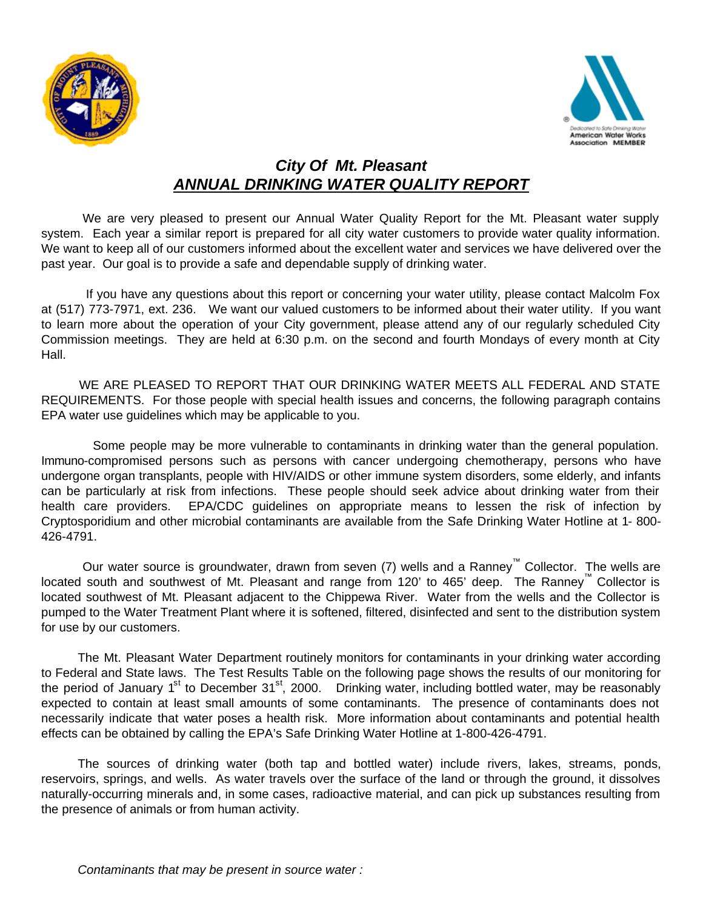



## *City Of Mt. Pleasant ANNUAL DRINKING WATER QUALITY REPORT*

We are very pleased to present our Annual Water Quality Report for the Mt. Pleasant water supply system. Each year a similar report is prepared for all city water customers to provide water quality information. We want to keep all of our customers informed about the excellent water and services we have delivered over the past year. Our goal is to provide a safe and dependable supply of drinking water.

 If you have any questions about this report or concerning your water utility, please contact Malcolm Fox at (517) 773-7971, ext. 236.We want our valued customers to be informed about their water utility. If you want to learn more about the operation of your City government, please attend any of our regularly scheduled City Commission meetings. They are held at 6:30 p.m. on the second and fourth Mondays of every month at City Hall.

WE ARE PLEASED TO REPORT THAT OUR DRINKING WATER MEETS ALL FEDERAL AND STATE REQUIREMENTS. For those people with special health issues and concerns, the following paragraph contains EPA water use guidelines which may be applicable to you.

 Some people may be more vulnerable to contaminants in drinking water than the general population. Immuno-compromised persons such as persons with cancer undergoing chemotherapy, persons who have undergone organ transplants, people with HIV/AIDS or other immune system disorders, some elderly, and infants can be particularly at risk from infections. These people should seek advice about drinking water from their health care providers. EPA/CDC guidelines on appropriate means to lessen the risk of infection by Cryptosporidium and other microbial contaminants are available from the Safe Drinking Water Hotline at 1- 800- 426-4791.

Our water source is groundwater, drawn from seven (7) wells and a Ranney™ Collector. The wells are located south and southwest of Mt. Pleasant and range from 120' to 465' deep. The Ranney™ Collector is located southwest of Mt. Pleasant adjacent to the Chippewa River. Water from the wells and the Collector is pumped to the Water Treatment Plant where it is softened, filtered, disinfected and sent to the distribution system for use by our customers.

The Mt. Pleasant Water Department routinely monitors for contaminants in your drinking water according to Federal and State laws. The Test Results Table on the following page shows the results of our monitoring for the period of January 1<sup>st</sup> to December 31<sup>st</sup>, 2000. Drinking water, including bottled water, may be reasonably expected to contain at least small amounts of some contaminants. The presence of contaminants does not necessarily indicate that water poses a health risk. More information about contaminants and potential health effects can be obtained by calling the EPA's Safe Drinking Water Hotline at 1-800-426-4791.

The sources of drinking water (both tap and bottled water) include rivers, lakes, streams, ponds, reservoirs, springs, and wells. As water travels over the surface of the land or through the ground, it dissolves naturally-occurring minerals and, in some cases, radioactive material, and can pick up substances resulting from the presence of animals or from human activity.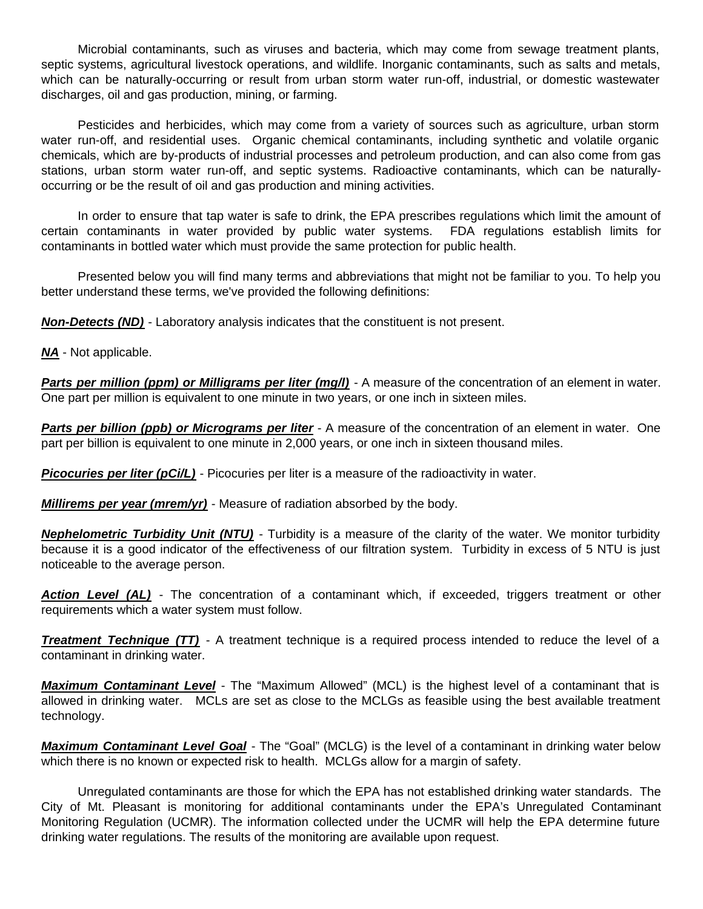Microbial contaminants, such as viruses and bacteria, which may come from sewage treatment plants, septic systems, agricultural livestock operations, and wildlife. Inorganic contaminants, such as salts and metals, which can be naturally-occurring or result from urban storm water run-off, industrial, or domestic wastewater discharges, oil and gas production, mining, or farming.

Pesticides and herbicides, which may come from a variety of sources such as agriculture, urban storm water run-off, and residential uses. Organic chemical contaminants, including synthetic and volatile organic chemicals, which are by-products of industrial processes and petroleum production, and can also come from gas stations, urban storm water run-off, and septic systems. Radioactive contaminants, which can be naturallyoccurring or be the result of oil and gas production and mining activities.

In order to ensure that tap water is safe to drink, the EPA prescribes regulations which limit the amount of certain contaminants in water provided by public water systems. FDA regulations establish limits for contaminants in bottled water which must provide the same protection for public health.

Presented below you will find many terms and abbreviations that might not be familiar to you. To help you better understand these terms, we've provided the following definitions:

*Non-Detects (ND)* - Laboratory analysis indicates that the constituent is not present.

*NA* - Not applicable.

*Parts per million (ppm) or Milligrams per liter (mg/l)* **- A measure of the concentration of an element in water.** One part per million is equivalent to one minute in two years, or one inch in sixteen miles.

*Parts per billion (ppb) or Micrograms per liter* - A measure of the concentration of an element in water. One part per billion is equivalent to one minute in 2,000 years, or one inch in sixteen thousand miles.

**Picocuries per liter (pCi/L)** - Picocuries per liter is a measure of the radioactivity in water.

*Millirems per year (mrem/yr)* - Measure of radiation absorbed by the body.

*Nephelometric Turbidity Unit (NTU)* - Turbidity is a measure of the clarity of the water. We monitor turbidity because it is a good indicator of the effectiveness of our filtration system. Turbidity in excess of 5 NTU is just noticeable to the average person.

**Action Level (AL)** - The concentration of a contaminant which, if exceeded, triggers treatment or other requirements which a water system must follow.

*Treatment Technique (TT)* - A treatment technique is a required process intended to reduce the level of a contaminant in drinking water.

*Maximum Contaminant Level* - The "Maximum Allowed" (MCL) is the highest level of a contaminant that is allowed in drinking water. MCLs are set as close to the MCLGs as feasible using the best available treatment technology.

*Maximum Contaminant Level Goal* - The "Goal" (MCLG) is the level of a contaminant in drinking water below which there is no known or expected risk to health. MCLGs allow for a margin of safety.

Unregulated contaminants are those for which the EPA has not established drinking water standards. The City of Mt. Pleasant is monitoring for additional contaminants under the EPA's Unregulated Contaminant Monitoring Regulation (UCMR). The information collected under the UCMR will help the EPA determine future drinking water regulations. The results of the monitoring are available upon request.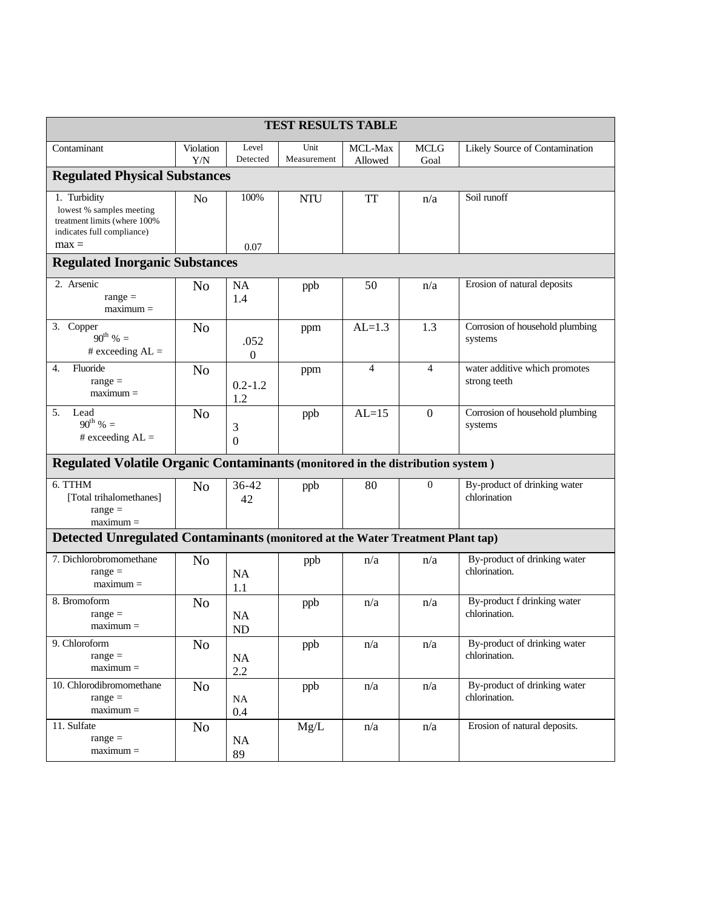| <b>TEST RESULTS TABLE</b>                                                                              |                  |                         |                     |                    |                     |                                               |
|--------------------------------------------------------------------------------------------------------|------------------|-------------------------|---------------------|--------------------|---------------------|-----------------------------------------------|
| Contaminant                                                                                            | Violation<br>Y/N | Level<br>Detected       | Unit<br>Measurement | MCL-Max<br>Allowed | <b>MCLG</b><br>Goal | Likely Source of Contamination                |
| <b>Regulated Physical Substances</b>                                                                   |                  |                         |                     |                    |                     |                                               |
| 1. Turbidity<br>lowest % samples meeting<br>treatment limits (where 100%<br>indicates full compliance) | N <sub>0</sub>   | 100%                    | <b>NTU</b>          | TT                 | n/a                 | Soil runoff                                   |
| $max =$                                                                                                |                  | 0.07                    |                     |                    |                     |                                               |
| <b>Regulated Inorganic Substances</b>                                                                  |                  |                         |                     |                    |                     |                                               |
| 2. Arsenic<br>$range =$<br>$maximum =$                                                                 | N <sub>o</sub>   | <b>NA</b><br>1.4        | ppb                 | 50                 | n/a                 | Erosion of natural deposits                   |
| 3.<br>Copper<br>$90^{th}$ % =<br># exceeding $AL =$                                                    | N <sub>o</sub>   | .052<br>0               | ppm                 | $AL=1.3$           | 1.3                 | Corrosion of household plumbing<br>systems    |
| Fluoride<br>4.<br>$range =$<br>$maximum =$                                                             | N <sub>o</sub>   | $0.2 - 1.2$<br>1.2      | ppm                 | $\overline{4}$     | $\overline{4}$      | water additive which promotes<br>strong teeth |
| 5.<br>Lead<br>$90^{th}$ % =<br># exceeding $AL =$                                                      | N <sub>o</sub>   | 3<br>$\Omega$           | ppb                 | $AL=15$            | $\mathbf{0}$        | Corrosion of household plumbing<br>systems    |
| <b>Regulated Volatile Organic Contaminants (monitored in the distribution system)</b>                  |                  |                         |                     |                    |                     |                                               |
| 6. TTHM<br>[Total trihalomethanes]<br>$range =$<br>$maximum =$                                         | N <sub>o</sub>   | $36 - 42$<br>42         | ppb                 | 80                 | $\mathbf{0}$        | By-product of drinking water<br>chlorination  |
| Detected Unregulated Contaminants (monitored at the Water Treatment Plant tap)                         |                  |                         |                     |                    |                     |                                               |
| 7. Dichlorobromomethane<br>$range =$<br>$maximum =$                                                    | N <sub>o</sub>   | <b>NA</b><br>1.1        | ppb                 | n/a                | n/a                 | By-product of drinking water<br>chlorination. |
| 8. Bromoform<br>$range =$<br>$maximum =$                                                               | N <sub>o</sub>   | <b>NA</b><br>${\rm ND}$ | ppb                 | n/a                | n/a                 | By-product f drinking water<br>chlorination.  |
| 9. Chloroform<br>$range =$<br>$maximum =$                                                              | N <sub>0</sub>   | NA<br>2.2               | ppb                 | n/a                | n/a                 | By-product of drinking water<br>chlorination. |
| 10. Chlorodibromomethane<br>$range =$<br>$maximum =$                                                   | N <sub>o</sub>   | <b>NA</b><br>0.4        | ppb                 | n/a                | n/a                 | By-product of drinking water<br>chlorination. |
| 11. Sulfate<br>$range =$<br>$maximum =$                                                                | N <sub>0</sub>   | NA<br>89                | Mg/L                | n/a                | n/a                 | Erosion of natural deposits.                  |